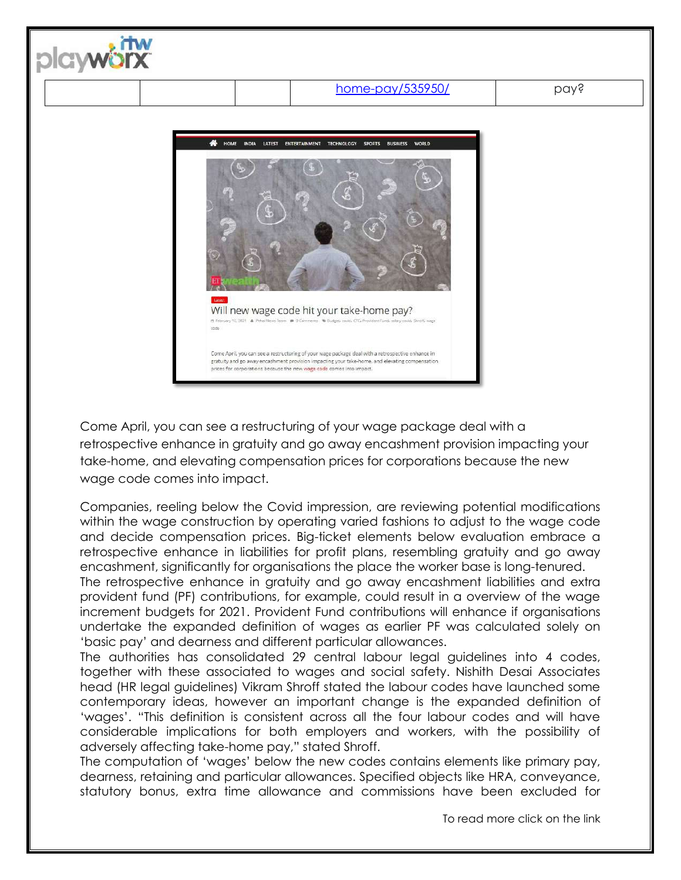



Come April, you can see a restructuring of your wage package deal with a retrospective enhance in gratuity and go away encashment provision impacting your take-home, and elevating compensation prices for corporations because the new wage code comes into impact.

Companies, reeling below the Covid impression, are reviewing potential modifications within the wage construction by operating varied fashions to adjust to the wage code and decide compensation prices. Big-ticket elements below evaluation embrace a retrospective enhance in liabilities for profit plans, resembling gratuity and go away encashment, significantly for organisations the place the worker base is long-tenured. The retrospective enhance in gratuity and go away encashment liabilities and extra provident fund (PF) contributions, for example, could result in a overview of the wage increment budgets for 2021. Provident Fund contributions will enhance if organisations undertake the expanded definition of wages as earlier PF was calculated solely on

'basic pay' and dearness and different particular allowances. The authorities has consolidated 29 central labour legal guidelines into 4 codes, together with these associated to wages and social safety. Nishith Desai Associates head (HR legal guidelines) Vikram Shroff stated the labour codes have launched some contemporary ideas, however an important change is the expanded definition of 'wages'. "This definition is consistent across all the four labour codes and will have considerable implications for both employers and workers, with the possibility of adversely affecting take-home pay," stated Shroff.

The computation of 'wages' below the new codes contains elements like primary pay, dearness, retaining and particular allowances. Specified objects like HRA, conveyance, statutory bonus, extra time allowance and commissions have been excluded for

To read more click on the link